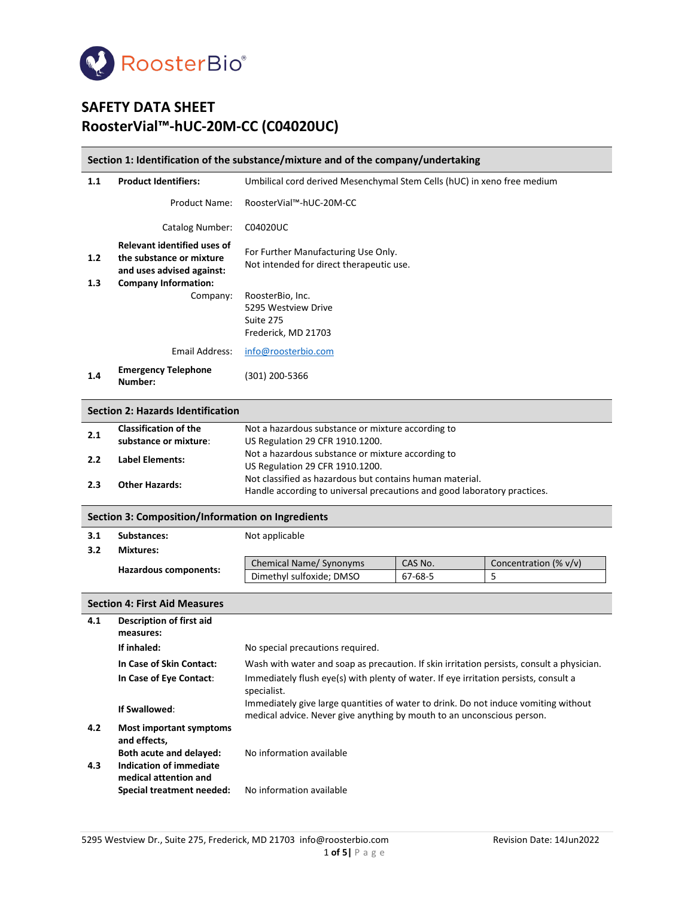

# **SAFETY DATA SHEET RoosterVial™-hUC-20M-CC (C04020UC)**

#### **Section 1: Identification of the substance/mixture and of the company/undertaking**

| 1.1        | <b>Product Identifiers:</b>                                                                                                | Umbilical cord derived Mesenchymal Stem Cells (hUC) in xeno free medium         |  |
|------------|----------------------------------------------------------------------------------------------------------------------------|---------------------------------------------------------------------------------|--|
|            | Product Name:                                                                                                              | RoosterVial™-hUC-20M-CC                                                         |  |
|            | Catalog Number:                                                                                                            | C04020UC                                                                        |  |
| 1.2<br>1.3 | <b>Relevant identified uses of</b><br>the substance or mixture<br>and uses advised against:<br><b>Company Information:</b> | For Further Manufacturing Use Only.<br>Not intended for direct therapeutic use. |  |
|            | Company:                                                                                                                   | RoosterBio, Inc.<br>5295 Westview Drive<br>Suite 275<br>Frederick, MD 21703     |  |
|            | Email Address:                                                                                                             | info@roosterbio.com                                                             |  |
| 1.4        | <b>Emergency Telephone</b><br>Number:                                                                                      | 301) 200-5366                                                                   |  |

### **Section 2: Hazards Identification**

| 2.1 | <b>Classification of the</b> | Not a hazardous substance or mixture according to                        |
|-----|------------------------------|--------------------------------------------------------------------------|
|     | substance or mixture:        | US Regulation 29 CFR 1910.1200.                                          |
| 2.2 | <b>Label Elements:</b>       | Not a hazardous substance or mixture according to                        |
|     |                              | US Regulation 29 CFR 1910.1200.                                          |
| 2.3 | <b>Other Hazards:</b>        | Not classified as hazardous but contains human material.                 |
|     |                              | Handle according to universal precautions and good laboratory practices. |
|     |                              |                                                                          |

#### **Section 3: Composition/Information on Ingredients**

| 3.1 | Substances:           | Not applicable                 |         |                       |
|-----|-----------------------|--------------------------------|---------|-----------------------|
| 3.2 | <b>Mixtures:</b>      |                                |         |                       |
|     | Hazardous components: | <b>Chemical Name/ Synonyms</b> | CAS No. | Concentration (% v/v) |
|     |                       | Dimethyl sulfoxide; DMSO       | 67-68-5 |                       |

|            | <b>Section 4: First Aid Measures</b>                                                                                          |                                                                                                                                                               |  |  |
|------------|-------------------------------------------------------------------------------------------------------------------------------|---------------------------------------------------------------------------------------------------------------------------------------------------------------|--|--|
| 4.1        | Description of first aid<br>measures:                                                                                         |                                                                                                                                                               |  |  |
|            | If inhaled:                                                                                                                   | No special precautions required.                                                                                                                              |  |  |
|            | In Case of Skin Contact:                                                                                                      | Wash with water and soap as precaution. If skin irritation persists, consult a physician.                                                                     |  |  |
|            | In Case of Eye Contact:                                                                                                       | Immediately flush eye(s) with plenty of water. If eye irritation persists, consult a<br>specialist.                                                           |  |  |
|            | If Swallowed:                                                                                                                 | Immediately give large quantities of water to drink. Do not induce vomiting without<br>medical advice. Never give anything by mouth to an unconscious person. |  |  |
| 4.2<br>4.3 | Most important symptoms<br>and effects,<br><b>Both acute and delayed:</b><br>Indication of immediate<br>medical attention and | No information available                                                                                                                                      |  |  |
|            | Special treatment needed:                                                                                                     | No information available                                                                                                                                      |  |  |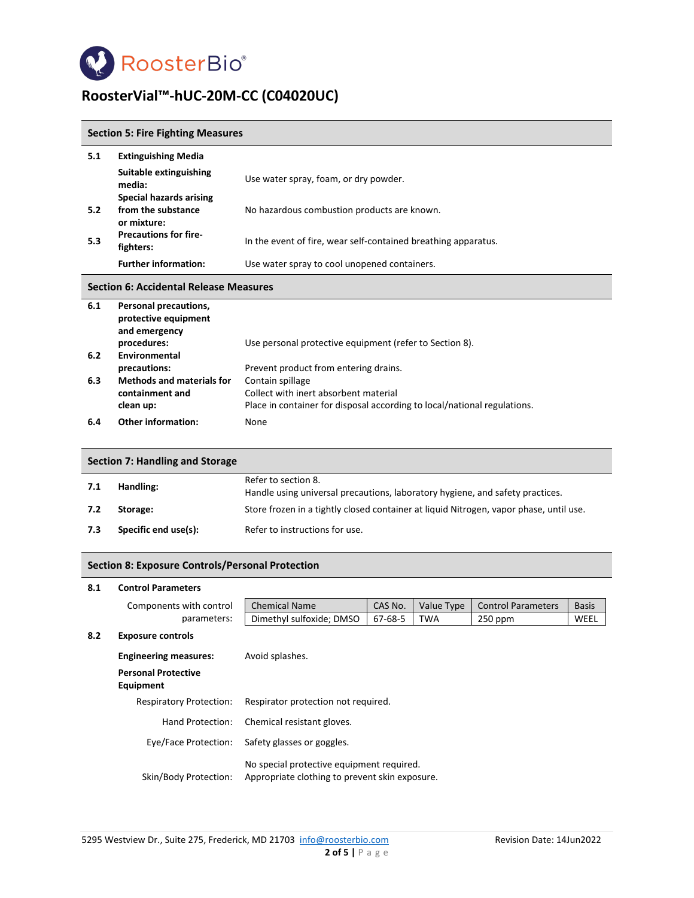

### **Section 5: Fire Fighting Measures**

| 5.1 | <b>Extinguishing Media</b>                                     |                                                                |
|-----|----------------------------------------------------------------|----------------------------------------------------------------|
|     | Suitable extinguishing<br>media:                               | Use water spray, foam, or dry powder.                          |
|     | Special hazards arising                                        |                                                                |
| 5.2 | from the substance<br>or mixture:                              | No hazardous combustion products are known.                    |
| 5.3 | <b>Precautions for fire-</b><br>fighters:                      | In the event of fire, wear self-contained breathing apparatus. |
|     | <b>Further information:</b>                                    | Use water spray to cool unopened containers.                   |
|     | <b>Section 6: Accidental Release Measures</b>                  |                                                                |
| 6.1 | Personal precautions,<br>protective equipment<br>and emergency |                                                                |
| 6.2 | procedures:<br>Environmental                                   | Use personal protective equipment (refer to Section 8).        |

| 6.2 | Environmental                    |                                                                          |
|-----|----------------------------------|--------------------------------------------------------------------------|
|     | precautions:                     | Prevent product from entering drains.                                    |
| 6.3 | <b>Methods and materials for</b> | Contain spillage                                                         |
|     | containment and                  | Collect with inert absorbent material                                    |
|     | clean up:                        | Place in container for disposal according to local/national regulations. |
| 6.4 | <b>Other information:</b>        | None.                                                                    |

|                             | Section 7: Handling and Storage |                                                                                                      |
|-----------------------------|---------------------------------|------------------------------------------------------------------------------------------------------|
| 7.1                         | Handling:                       | Refer to section 8.<br>Handle using universal precautions, laboratory hygiene, and safety practices. |
| 7.2                         | Storage:                        | Store frozen in a tightly closed container at liquid Nitrogen, vapor phase, until use.               |
| Specific end use(s):<br>7.3 |                                 | Refer to instructions for use.                                                                       |

### **Section 8: Exposure Controls/Personal Protection**

#### **8.1 Control Parameters**

| Components with control                 | <b>Chemical Name</b>       | CAS No. | Value Type                          | <b>Control Parameters</b>                                                                   | <b>Basis</b> |
|-----------------------------------------|----------------------------|---------|-------------------------------------|---------------------------------------------------------------------------------------------|--------------|
| parameters:                             | Dimethyl sulfoxide; DMSO   | 67-68-5 | <b>TWA</b>                          | $250$ ppm                                                                                   | WEEL         |
| <b>Exposure controls</b>                |                            |         |                                     |                                                                                             |              |
| <b>Engineering measures:</b>            | Avoid splashes.            |         |                                     |                                                                                             |              |
| <b>Personal Protective</b><br>Equipment |                            |         |                                     |                                                                                             |              |
| <b>Respiratory Protection:</b>          |                            |         |                                     |                                                                                             |              |
| Hand Protection:                        | Chemical resistant gloves. |         |                                     |                                                                                             |              |
| Eye/Face Protection:                    | Safety glasses or goggles. |         |                                     |                                                                                             |              |
| Skin/Body Protection:                   |                            |         |                                     |                                                                                             |              |
|                                         |                            |         | Respirator protection not required. | No special protective equipment required.<br>Appropriate clothing to prevent skin exposure. |              |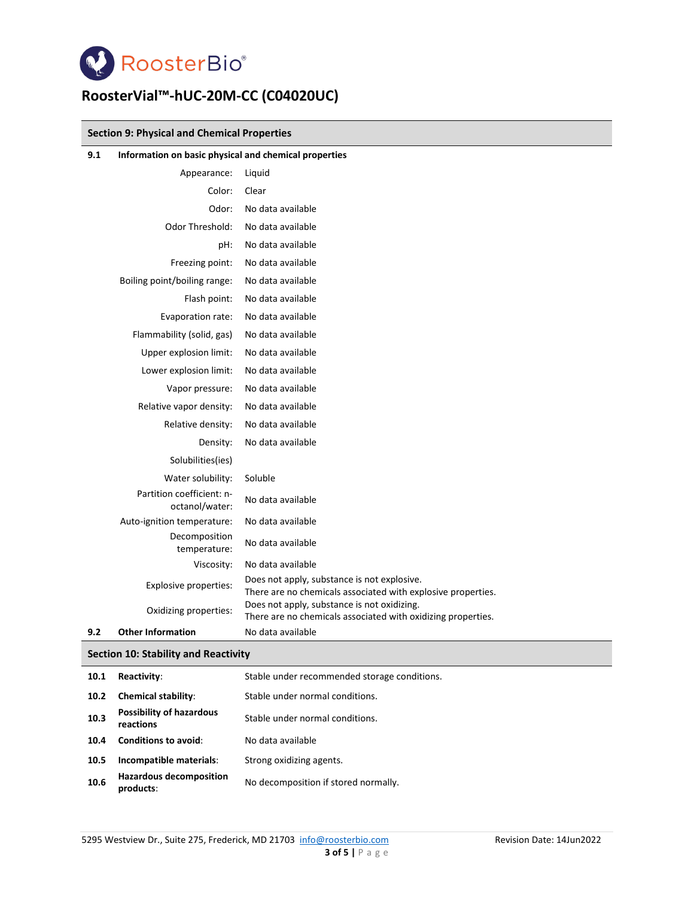

### **Section 9: Physical and Chemical Properties**

| 9.1 | Information on basic physical and chemical properties |                                                                                                             |
|-----|-------------------------------------------------------|-------------------------------------------------------------------------------------------------------------|
|     | Appearance:                                           | Liquid                                                                                                      |
|     | Color:                                                | Clear                                                                                                       |
|     | Odor:                                                 | No data available                                                                                           |
|     | Odor Threshold:                                       | No data available                                                                                           |
|     | pH:                                                   | No data available                                                                                           |
|     | Freezing point:                                       | No data available                                                                                           |
|     | Boiling point/boiling range:                          | No data available                                                                                           |
|     | Flash point:                                          | No data available                                                                                           |
|     | Evaporation rate:                                     | No data available                                                                                           |
|     | Flammability (solid, gas)                             | No data available                                                                                           |
|     | Upper explosion limit:                                | No data available                                                                                           |
|     | Lower explosion limit:                                | No data available                                                                                           |
|     | Vapor pressure:                                       | No data available                                                                                           |
|     | Relative vapor density:                               | No data available                                                                                           |
|     | Relative density:                                     | No data available                                                                                           |
|     | Density:                                              | No data available                                                                                           |
|     | Solubilities(ies)                                     |                                                                                                             |
|     | Water solubility:                                     | Soluble                                                                                                     |
|     | Partition coefficient: n-<br>octanol/water:           | No data available                                                                                           |
|     | Auto-ignition temperature:                            | No data available                                                                                           |
|     | Decomposition<br>temperature:                         | No data available                                                                                           |
|     | Viscosity:                                            | No data available                                                                                           |
|     | Explosive properties:                                 | Does not apply, substance is not explosive.<br>There are no chemicals associated with explosive properties. |
|     | Oxidizing properties:                                 | Does not apply, substance is not oxidizing.<br>There are no chemicals associated with oxidizing properties. |
| 9.2 | <b>Other Information</b>                              | No data available                                                                                           |

#### **Section 10: Stability and Reactivity**

| 10.1 | Reactivity:                                  | Stable under recommended storage conditions. |
|------|----------------------------------------------|----------------------------------------------|
| 10.2 | <b>Chemical stability:</b>                   | Stable under normal conditions.              |
| 10.3 | <b>Possibility of hazardous</b><br>reactions | Stable under normal conditions.              |
| 10.4 | <b>Conditions to avoid:</b>                  | No data available                            |
| 10.5 | Incompatible materials:                      | Strong oxidizing agents.                     |
| 10.6 | <b>Hazardous decomposition</b><br>products:  | No decomposition if stored normally.         |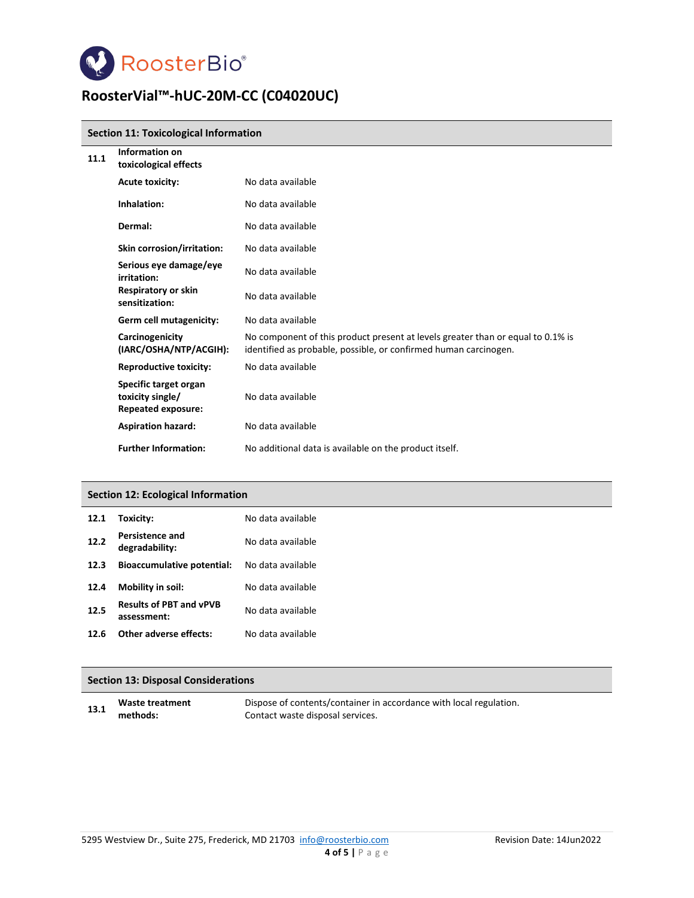

#### **Section 11: Toxicological Information**

| 11.1 | Information on<br>toxicological effects                                |                                                                                                                                                     |
|------|------------------------------------------------------------------------|-----------------------------------------------------------------------------------------------------------------------------------------------------|
|      | <b>Acute toxicity:</b>                                                 | No data available                                                                                                                                   |
|      | Inhalation:                                                            | No data available                                                                                                                                   |
|      | Dermal:                                                                | No data available                                                                                                                                   |
|      | Skin corrosion/irritation:                                             | No data available                                                                                                                                   |
|      | Serious eye damage/eye<br>irritation:                                  | No data available                                                                                                                                   |
|      | <b>Respiratory or skin</b><br>sensitization:                           | No data available                                                                                                                                   |
|      | Germ cell mutagenicity:                                                | No data available                                                                                                                                   |
|      | Carcinogenicity<br>(IARC/OSHA/NTP/ACGIH):                              | No component of this product present at levels greater than or equal to 0.1% is<br>identified as probable, possible, or confirmed human carcinogen. |
|      | <b>Reproductive toxicity:</b>                                          | No data available                                                                                                                                   |
|      | Specific target organ<br>toxicity single/<br><b>Repeated exposure:</b> | No data available                                                                                                                                   |
|      | <b>Aspiration hazard:</b>                                              | No data available                                                                                                                                   |
|      | <b>Further Information:</b>                                            | No additional data is available on the product itself.                                                                                              |

#### **Section 12: Ecological Information**

| 12.1 | Toxicity:                                     | No data available |
|------|-----------------------------------------------|-------------------|
| 12.2 | <b>Persistence and</b><br>degradability:      | No data available |
| 12.3 | <b>Bioaccumulative potential:</b>             | No data available |
| 12.4 | Mobility in soil:                             | No data available |
| 12.5 | <b>Results of PBT and vPVB</b><br>assessment: | No data available |
| 12.6 | Other adverse effects:                        | No data available |
|      |                                               |                   |

#### **Section 13: Disposal Considerations**

| 13.1 | Waste treatment | Dispose of contents/container in accordance with local regulation. |
|------|-----------------|--------------------------------------------------------------------|
|      | methods:        | Contact waste disposal services.                                   |